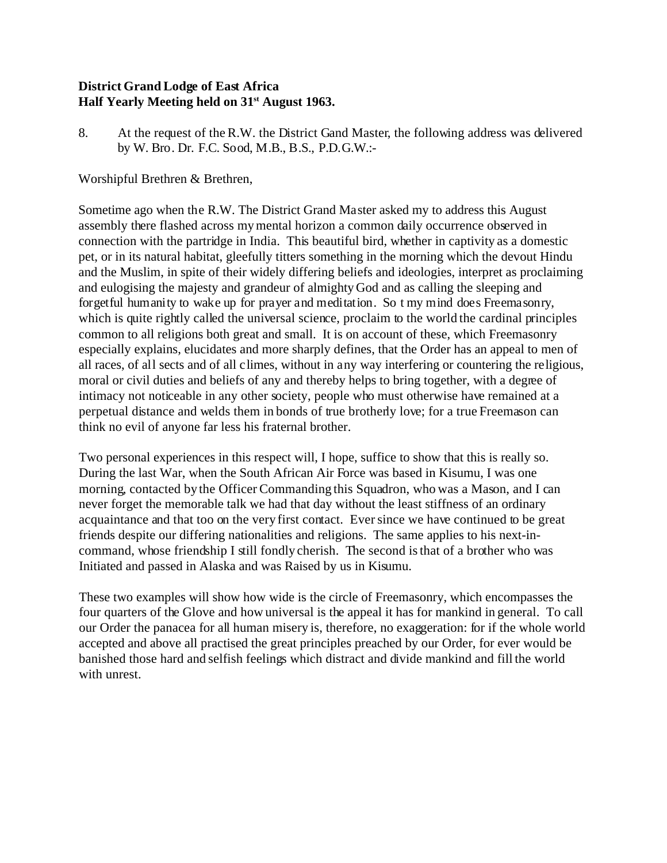## **District Grand Lodge of East Africa Half Yearly Meeting held on 31st August 1963.**

8. At the request of the R.W. the District Gand Master, the following address was delivered by W. Bro. Dr. F.C. Sood, M.B., B.S., P.D.G.W.:-

Worshipful Brethren & Brethren,

Sometime ago when the R.W. The District Grand Master asked my to address this August assembly there flashed across my mental horizon a common daily occurrence observed in connection with the partridge in India. This beautiful bird, whether in captivity as a domestic pet, or in its natural habitat, gleefully titters something in the morning which the devout Hindu and the Muslim, in spite of their widely differing beliefs and ideologies, interpret as proclaiming and eulogising the majesty and grandeur of almighty God and as calling the sleeping and forgetful humanity to wake up for prayer and meditation. So t my mind does Freemasonry, which is quite rightly called the universal science, proclaim to the world the cardinal principles common to all religions both great and small. It is on account of these, which Freemasonry especially explains, elucidates and more sharply defines, that the Order has an appeal to men of all races, of all sects and of all climes, without in any way interfering or countering the religious, moral or civil duties and beliefs of any and thereby helps to bring together, with a degree of intimacy not noticeable in any other society, people who must otherwise have remained at a perpetual distance and welds them in bonds of true brotherly love; for a true Freemason can think no evil of anyone far less his fraternal brother.

Two personal experiences in this respect will, I hope, suffice to show that this is really so. During the last War, when the South African Air Force was based in Kisumu, I was one morning, contacted by the Officer Commanding this Squadron, who was a Mason, and I can never forget the memorable talk we had that day without the least stiffness of an ordinary acquaintance and that too on the very first contact. Ever since we have continued to be great friends despite our differing nationalities and religions. The same applies to his next-incommand, whose friendship I still fondly cherish. The second is that of a brother who was Initiated and passed in Alaska and was Raised by us in Kisumu.

These two examples will show how wide is the circle of Freemasonry, which encompasses the four quarters of the Glove and how universal is the appeal it has for mankind in general. To call our Order the panacea for all human misery is, therefore, no exaggeration: for if the whole world accepted and above all practised the great principles preached by our Order, for ever would be banished those hard and selfish feelings which distract and divide mankind and fill the world with unrest.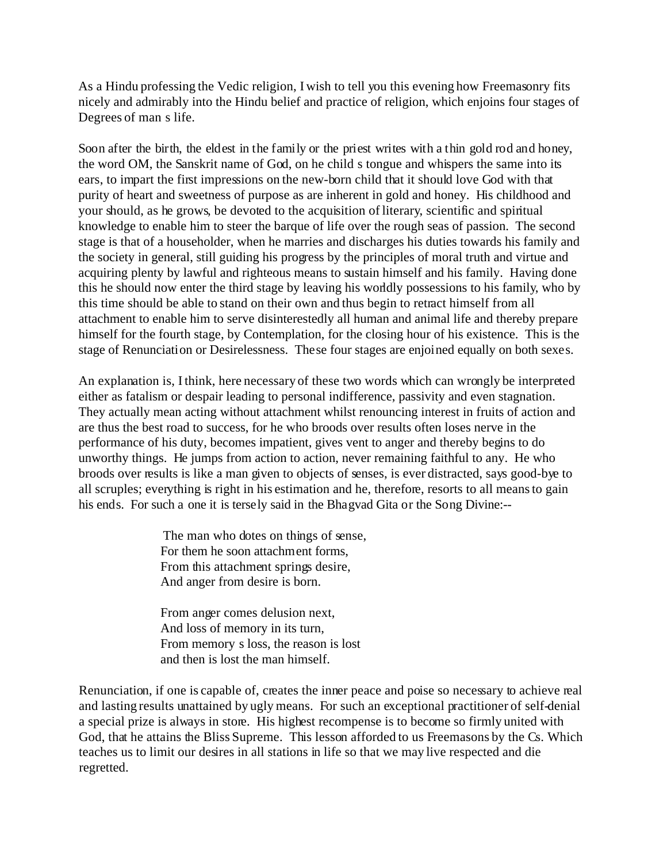As a Hindu professing the Vedic religion, I wish to tell you this evening how Freemasonry fits nicely and admirably into the Hindu belief and practice of religion, which enjoins four stages of Degrees of man s life.

Soon after the birth, the eldest in the family or the priest writes with a thin gold rod and honey, the word OM, the Sanskrit name of God, on he child s tongue and whispers the same into its ears, to impart the first impressions on the new-born child that it should love God with that purity of heart and sweetness of purpose as are inherent in gold and honey. His childhood and your should, as he grows, be devoted to the acquisition of literary, scientific and spiritual knowledge to enable him to steer the barque of life over the rough seas of passion. The second stage is that of a householder, when he marries and discharges his duties towards his family and the society in general, still guiding his progress by the principles of moral truth and virtue and acquiring plenty by lawful and righteous means to sustain himself and his family. Having done this he should now enter the third stage by leaving his worldly possessions to his family, who by this time should be able to stand on their own and thus begin to retract himself from all attachment to enable him to serve disinterestedly all human and animal life and thereby prepare himself for the fourth stage, by Contemplation, for the closing hour of his existence. This is the stage of Renunciation or Desirelessness. These four stages are enjoined equally on both sexes.

An explanation is, I think, here necessary of these two words which can wrongly be interpreted either as fatalism or despair leading to personal indifference, passivity and even stagnation. They actually mean acting without attachment whilst renouncing interest in fruits of action and are thus the best road to success, for he who broods over results often loses nerve in the performance of his duty, becomes impatient, gives vent to anger and thereby begins to do unworthy things. He jumps from action to action, never remaining faithful to any. He who broods over results is like a man given to objects of senses, is ever distracted, says good-bye to all scruples; everything is right in his estimation and he, therefore, resorts to all means to gain his ends. For such a one it is tersely said in the Bhagvad Gita or the Song Divine:--

> The man who dotes on things of sense, For them he soon attachment forms, From this attachment springs desire, And anger from desire is born.

 From anger comes delusion next, And loss of memory in its turn, From memory s loss, the reason is lost and then is lost the man himself.

Renunciation, if one is capable of, creates the inner peace and poise so necessary to achieve real and lasting results unattained by ugly means. For such an exceptional practitioner of self-denial a special prize is always in store. His highest recompense is to become so firmly united with God, that he attains the Bliss Supreme. This lesson afforded to us Freemasons by the Cs. Which teaches us to limit our desires in all stations in life so that we may live respected and die regretted.